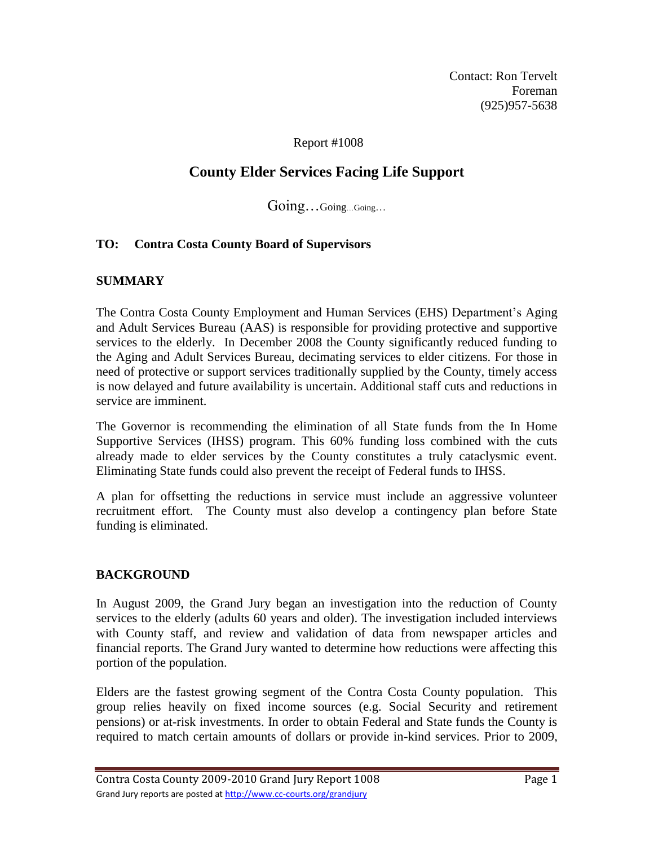Contact: Ron Tervelt Foreman (925)957-5638

### Report #1008

# **County Elder Services Facing Life Support**

Going…Going…Going…

# **TO: Contra Costa County Board of Supervisors**

### **SUMMARY**

The Contra Costa County Employment and Human Services (EHS) Department's Aging and Adult Services Bureau (AAS) is responsible for providing protective and supportive services to the elderly. In December 2008 the County significantly reduced funding to the Aging and Adult Services Bureau, decimating services to elder citizens. For those in need of protective or support services traditionally supplied by the County, timely access is now delayed and future availability is uncertain. Additional staff cuts and reductions in service are imminent.

The Governor is recommending the elimination of all State funds from the In Home Supportive Services (IHSS) program. This 60% funding loss combined with the cuts already made to elder services by the County constitutes a truly cataclysmic event. Eliminating State funds could also prevent the receipt of Federal funds to IHSS.

A plan for offsetting the reductions in service must include an aggressive volunteer recruitment effort. The County must also develop a contingency plan before State funding is eliminated.

#### **BACKGROUND**

In August 2009, the Grand Jury began an investigation into the reduction of County services to the elderly (adults 60 years and older). The investigation included interviews with County staff, and review and validation of data from newspaper articles and financial reports. The Grand Jury wanted to determine how reductions were affecting this portion of the population.

Elders are the fastest growing segment of the Contra Costa County population. This group relies heavily on fixed income sources (e.g. Social Security and retirement pensions) or at-risk investments. In order to obtain Federal and State funds the County is required to match certain amounts of dollars or provide in-kind services. Prior to 2009,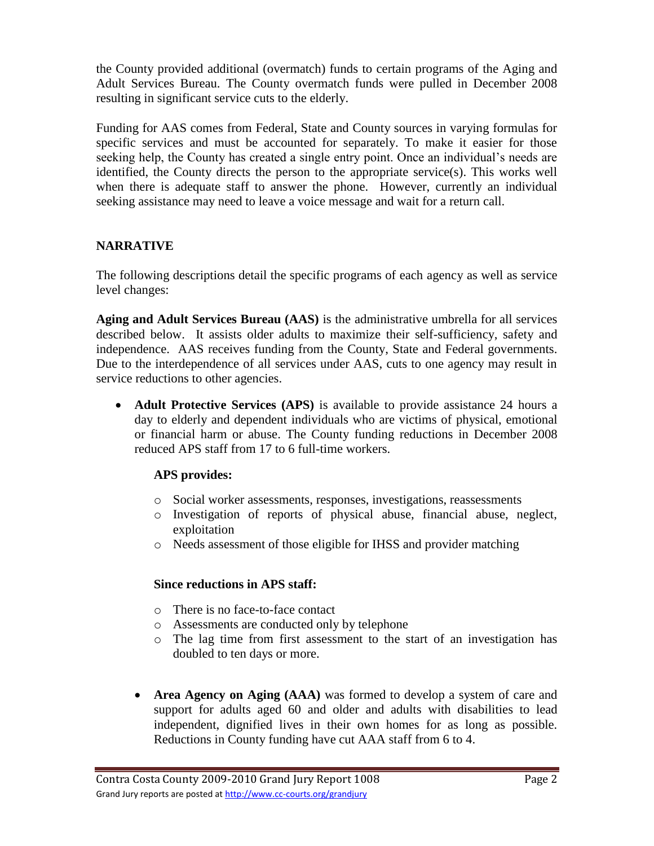the County provided additional (overmatch) funds to certain programs of the Aging and Adult Services Bureau. The County overmatch funds were pulled in December 2008 resulting in significant service cuts to the elderly.

Funding for AAS comes from Federal, State and County sources in varying formulas for specific services and must be accounted for separately. To make it easier for those seeking help, the County has created a single entry point. Once an individual's needs are identified, the County directs the person to the appropriate service(s). This works well when there is adequate staff to answer the phone. However, currently an individual seeking assistance may need to leave a voice message and wait for a return call.

# **NARRATIVE**

The following descriptions detail the specific programs of each agency as well as service level changes:

**Aging and Adult Services Bureau (AAS)** is the administrative umbrella for all services described below. It assists older adults to maximize their self-sufficiency, safety and independence. AAS receives funding from the County, State and Federal governments. Due to the interdependence of all services under AAS, cuts to one agency may result in service reductions to other agencies.

 **Adult Protective Services (APS)** is available to provide assistance 24 hours a day to elderly and dependent individuals who are victims of physical, emotional or financial harm or abuse. The County funding reductions in December 2008 reduced APS staff from 17 to 6 full-time workers.

# **APS provides:**

- o Social worker assessments, responses, investigations, reassessments
- o Investigation of reports of physical abuse, financial abuse, neglect, exploitation
- o Needs assessment of those eligible for IHSS and provider matching

# **Since reductions in APS staff:**

- o There is no face-to-face contact
- o Assessments are conducted only by telephone
- o The lag time from first assessment to the start of an investigation has doubled to ten days or more.
- **Area Agency on Aging (AAA)** was formed to develop a system of care and support for adults aged 60 and older and adults with disabilities to lead independent, dignified lives in their own homes for as long as possible*.* Reductions in County funding have cut AAA staff from 6 to 4.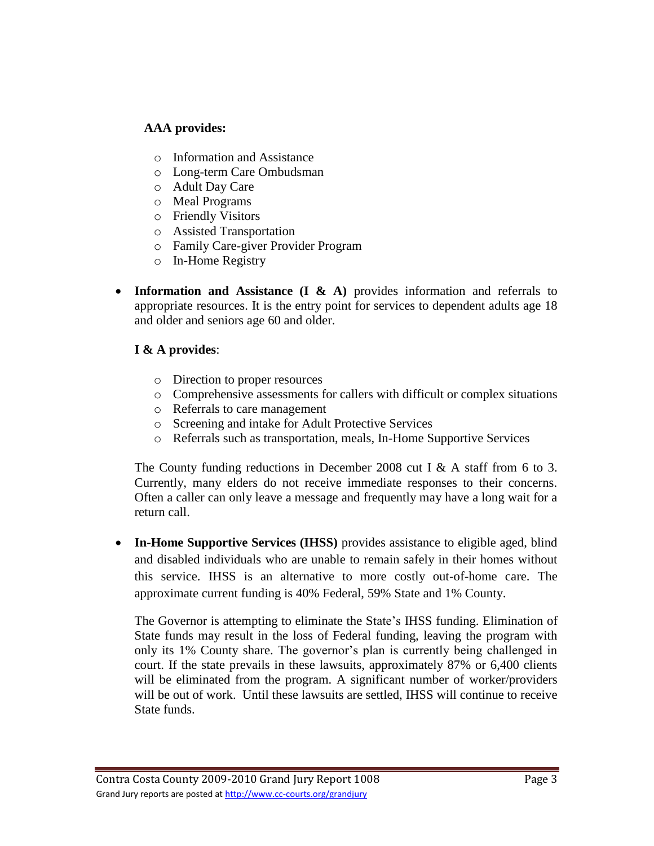# **AAA provides:**

- o Information and Assistance
- o Long-term Care Ombudsman
- o Adult Day Care
- o Meal Programs
- o Friendly Visitors
- o Assisted Transportation
- o Family Care-giver Provider Program
- o In-Home Registry
- Information and Assistance (I & A) provides information and referrals to appropriate resources. It is the entry point for services to dependent adults age 18 and older and seniors age 60 and older.

# **I & A provides**:

- o Direction to proper resources
- o Comprehensive assessments for callers with difficult or complex situations
- o Referrals to care management
- o Screening and intake for Adult Protective Services
- o Referrals such as transportation, meals, In-Home Supportive Services

The County funding reductions in December 2008 cut I & A staff from 6 to 3. Currently, many elders do not receive immediate responses to their concerns. Often a caller can only leave a message and frequently may have a long wait for a return call.

 **In-Home Supportive Services (IHSS)** provides assistance to eligible aged, blind and disabled individuals who are unable to remain safely in their homes without this service. IHSS is an alternative to more costly out-of-home care. The approximate current funding is 40% Federal, 59% State and 1% County.

The Governor is attempting to eliminate the State's IHSS funding. Elimination of State funds may result in the loss of Federal funding, leaving the program with only its 1% County share. The governor's plan is currently being challenged in court. If the state prevails in these lawsuits, approximately 87% or 6,400 clients will be eliminated from the program. A significant number of worker/providers will be out of work. Until these lawsuits are settled, IHSS will continue to receive State funds.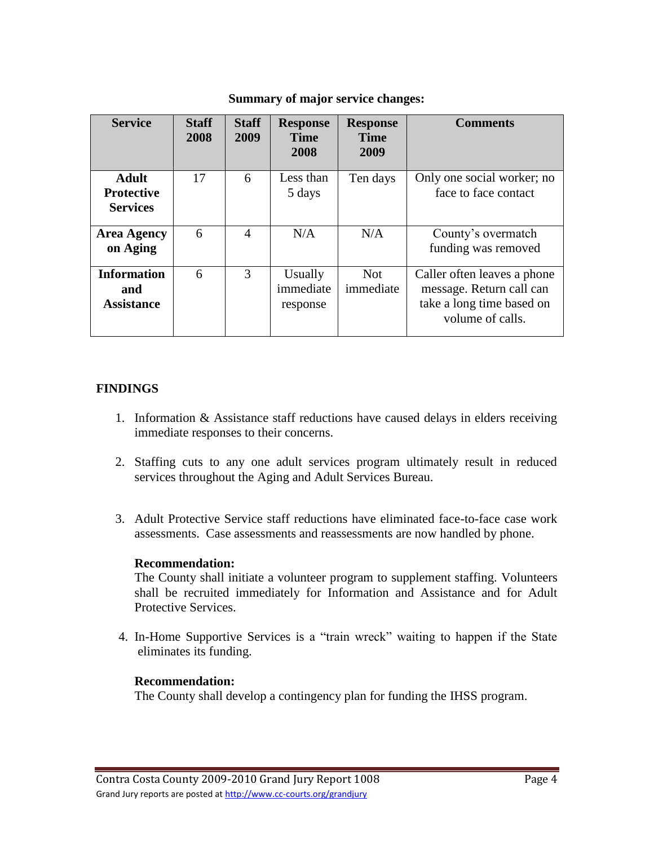| <b>Service</b>                                       | <b>Staff</b><br>2008 | <b>Staff</b><br>2009 | <b>Response</b><br><b>Time</b><br>2008 | <b>Response</b><br><b>Time</b><br>2009 | <b>Comments</b>                                                                                          |
|------------------------------------------------------|----------------------|----------------------|----------------------------------------|----------------------------------------|----------------------------------------------------------------------------------------------------------|
| <b>Adult</b><br><b>Protective</b><br><b>Services</b> | 17                   | 6                    | Less than<br>5 days                    | Ten days                               | Only one social worker; no<br>face to face contact                                                       |
| <b>Area Agency</b><br>on Aging                       | 6                    | $\overline{4}$       | N/A                                    | N/A                                    | County's overmatch<br>funding was removed                                                                |
| <b>Information</b><br>and<br><b>Assistance</b>       | 6                    | 3                    | Usually<br>immediate<br>response       | <b>Not</b><br>immediate                | Caller often leaves a phone<br>message. Return call can<br>take a long time based on<br>volume of calls. |

#### **Summary of major service changes:**

# **FINDINGS**

- 1. Information & Assistance staff reductions have caused delays in elders receiving immediate responses to their concerns.
- 2. Staffing cuts to any one adult services program ultimately result in reduced services throughout the Aging and Adult Services Bureau.
- 3. Adult Protective Service staff reductions have eliminated face-to-face case work assessments. Case assessments and reassessments are now handled by phone.

#### **Recommendation:**

The County shall initiate a volunteer program to supplement staffing. Volunteers shall be recruited immediately for Information and Assistance and for Adult Protective Services.

4. In-Home Supportive Services is a "train wreck" waiting to happen if the State eliminates its funding.

# **Recommendation:**

The County shall develop a contingency plan for funding the IHSS program.